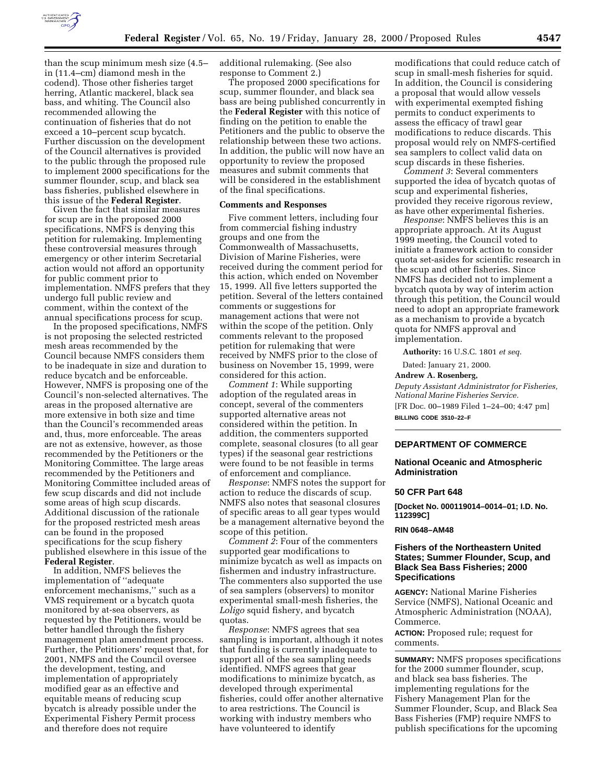

than the scup minimum mesh size (4.5– in (11.4–cm) diamond mesh in the codend). Those other fisheries target herring, Atlantic mackerel, black sea bass, and whiting. The Council also recommended allowing the continuation of fisheries that do not exceed a 10–percent scup bycatch. Further discussion on the development of the Council alternatives is provided to the public through the proposed rule to implement 2000 specifications for the summer flounder, scup, and black sea bass fisheries, published elsewhere in this issue of the **Federal Register**.

Given the fact that similar measures for scup are in the proposed 2000 specifications, NMFS is denying this petition for rulemaking. Implementing these controversial measures through emergency or other interim Secretarial action would not afford an opportunity for public comment prior to implementation. NMFS prefers that they undergo full public review and comment, within the context of the annual specifications process for scup.

In the proposed specifications, NMFS is not proposing the selected restricted mesh areas recommended by the Council because NMFS considers them to be inadequate in size and duration to reduce bycatch and be enforceable. However, NMFS is proposing one of the Council's non-selected alternatives. The areas in the proposed alternative are more extensive in both size and time than the Council's recommended areas and, thus, more enforceable. The areas are not as extensive, however, as those recommended by the Petitioners or the Monitoring Committee. The large areas recommended by the Petitioners and Monitoring Committee included areas of few scup discards and did not include some areas of high scup discards. Additional discussion of the rationale for the proposed restricted mesh areas can be found in the proposed specifications for the scup fishery published elsewhere in this issue of the **Federal Register**.

In addition, NMFS believes the implementation of ''adequate enforcement mechanisms,'' such as a VMS requirement or a bycatch quota monitored by at-sea observers, as requested by the Petitioners, would be better handled through the fishery management plan amendment process. Further, the Petitioners' request that, for 2001, NMFS and the Council oversee the development, testing, and implementation of appropriately modified gear as an effective and equitable means of reducing scup bycatch is already possible under the Experimental Fishery Permit process and therefore does not require

additional rulemaking. (See also response to Comment 2.)

The proposed 2000 specifications for scup, summer flounder, and black sea bass are being published concurrently in the **Federal Register** with this notice of finding on the petition to enable the Petitioners and the public to observe the relationship between these two actions. In addition, the public will now have an opportunity to review the proposed measures and submit comments that will be considered in the establishment of the final specifications.

#### **Comments and Responses**

Five comment letters, including four from commercial fishing industry groups and one from the Commonwealth of Massachusetts, Division of Marine Fisheries, were received during the comment period for this action, which ended on November 15, 1999. All five letters supported the petition. Several of the letters contained comments or suggestions for management actions that were not within the scope of the petition. Only comments relevant to the proposed petition for rulemaking that were received by NMFS prior to the close of business on November 15, 1999, were considered for this action.

*Comment 1*: While supporting adoption of the regulated areas in concept, several of the commenters supported alternative areas not considered within the petition. In addition, the commenters supported complete, seasonal closures (to all gear types) if the seasonal gear restrictions were found to be not feasible in terms of enforcement and compliance.

*Response*: NMFS notes the support for action to reduce the discards of scup. NMFS also notes that seasonal closures of specific areas to all gear types would be a management alternative beyond the scope of this petition.

*Comment 2*: Four of the commenters supported gear modifications to minimize bycatch as well as impacts on fishermen and industry infrastructure. The commenters also supported the use of sea samplers (observers) to monitor experimental small-mesh fisheries, the *Loligo* squid fishery, and bycatch quotas.

*Response*: NMFS agrees that sea sampling is important, although it notes that funding is currently inadequate to support all of the sea sampling needs identified. NMFS agrees that gear modifications to minimize bycatch, as developed through experimental fisheries, could offer another alternative to area restrictions. The Council is working with industry members who have volunteered to identify

modifications that could reduce catch of scup in small-mesh fisheries for squid. In addition, the Council is considering a proposal that would allow vessels with experimental exempted fishing permits to conduct experiments to assess the efficacy of trawl gear modifications to reduce discards. This proposal would rely on NMFS-certified sea samplers to collect valid data on scup discards in these fisheries.

*Comment 3*: Several commenters supported the idea of bycatch quotas of scup and experimental fisheries, provided they receive rigorous review, as have other experimental fisheries.

*Response*: NMFS believes this is an appropriate approach. At its August 1999 meeting, the Council voted to initiate a framework action to consider quota set-asides for scientific research in the scup and other fisheries. Since NMFS has decided not to implement a bycatch quota by way of interim action through this petition, the Council would need to adopt an appropriate framework as a mechanism to provide a bycatch quota for NMFS approval and implementation.

**Authority:** 16 U.S.C. 1801 *et seq*.

Dated: January 21, 2000.

#### **Andrew A. Rosenberg,**

*Deputy Assistant Administrator for Fisheries, National Marine Fisheries Service.* [FR Doc. 00–1989 Filed 1–24–00; 4:47 pm] **BILLING CODE 3510–22–F**

# **DEPARTMENT OF COMMERCE**

# **National Oceanic and Atmospheric Administration**

### **50 CFR Part 648**

**[Docket No. 000119014–0014–01; I.D. No. 112399C]**

## **RIN 0648–AM48**

## **Fishers of the Northeastern United States; Summer Flounder, Scup, and Black Sea Bass Fisheries; 2000 Specifications**

**AGENCY:** National Marine Fisheries Service (NMFS), National Oceanic and Atmospheric Administration (NOAA), Commerce.

**ACTION:** Proposed rule; request for comments.

**SUMMARY:** NMFS proposes specifications for the 2000 summer flounder, scup, and black sea bass fisheries. The implementing regulations for the Fishery Management Plan for the Summer Flounder, Scup, and Black Sea Bass Fisheries (FMP) require NMFS to publish specifications for the upcoming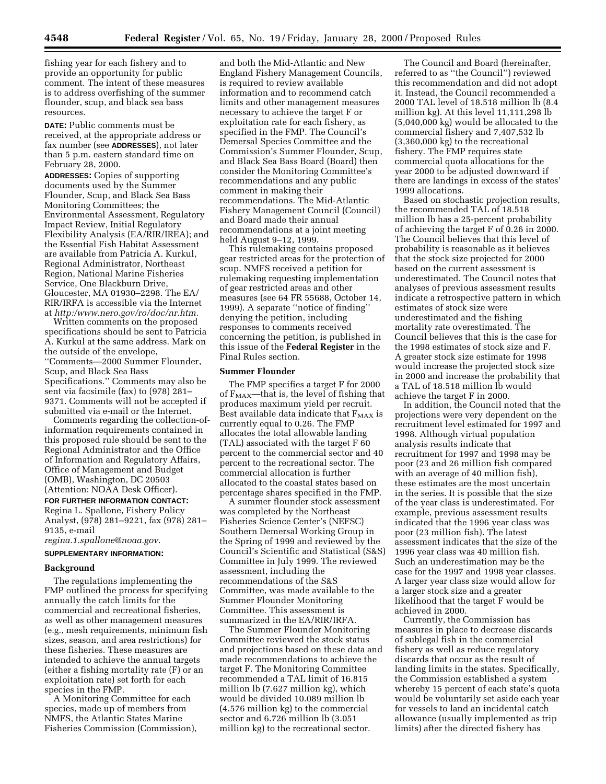fishing year for each fishery and to provide an opportunity for public comment. The intent of these measures is to address overfishing of the summer flounder, scup, and black sea bass resources.

**DATE:** Public comments must be received, at the appropriate address or fax number (see **ADDRESSES**), not later than 5 p.m. eastern standard time on February 28, 2000.

**ADDRESSES:** Copies of supporting documents used by the Summer Flounder, Scup, and Black Sea Bass Monitoring Committees; the Environmental Assessment, Regulatory Impact Review, Initial Regulatory Flexibility Analysis (EA/RIR/IREA); and the Essential Fish Habitat Assessment are available from Patricia A. Kurkul, Regional Administrator, Northeast Region, National Marine Fisheries Service, One Blackburn Drive, Gloucester, MA 01930–2298. The EA/ RIR/IRFA is accessible via the Internet at *http:/www.nero.gov/ro/doc/nr.htm.*

Written comments on the proposed specifications should be sent to Patricia A. Kurkul at the same address. Mark on the outside of the envelope, ''Comments—2000 Summer Flounder, Scup, and Black Sea Bass Specifications.'' Comments may also be sent via facsimile (fax) to (978) 281– 9371. Comments will not be accepted if submitted via e-mail or the Internet.

Comments regarding the collection-ofinformation requirements contained in this proposed rule should be sent to the Regional Administrator and the Office of Information and Regulatory Affairs, Office of Management and Budget (OMB), Washington, DC 20503 (Attention: NOAA Desk Officer).

### **FOR FURTHER INFORMATION CONTACT:**

Regina L. Spallone, Fishery Policy Analyst, (978) 281–9221, fax (978) 281– 9135, e-mail

*regina.1.spallone@noaa.gov.*

# **SUPPLEMENTARY INFORMATION:**

#### **Background**

The regulations implementing the FMP outlined the process for specifying annually the catch limits for the commercial and recreational fisheries, as well as other management measures (e.g., mesh requirements, minimum fish sizes, season, and area restrictions) for these fisheries. These measures are intended to achieve the annual targets (either a fishing mortality rate (F) or an exploitation rate) set forth for each species in the FMP.

A Monitoring Committee for each species, made up of members from NMFS, the Atlantic States Marine Fisheries Commission (Commission),

and both the Mid-Atlantic and New England Fishery Management Councils, is required to review available information and to recommend catch limits and other management measures necessary to achieve the target F or exploitation rate for each fishery, as specified in the FMP. The Council's Demersal Species Committee and the Commission's Summer Flounder, Scup, and Black Sea Bass Board (Board) then consider the Monitoring Committee's recommendations and any public comment in making their recommendations. The Mid-Atlantic Fishery Management Council (Council) and Board made their annual recommendations at a joint meeting held August 9–12, 1999.

This rulemaking contains proposed gear restricted areas for the protection of scup. NMFS received a petition for rulemaking requesting implementation of gear restricted areas and other measures (see 64 FR 55688, October 14, 1999). A separate ''notice of finding'' denying the petition, including responses to comments received concerning the petition, is published in this issue of the **Federal Register** in the Final Rules section.

#### **Summer Flounder**

The FMP specifies a target F for 2000 of  $F_{MAX}$ —that is, the level of fishing that produces maximum yield per recruit. Best available data indicate that  $F_{MAX}$  is currently equal to 0.26. The FMP allocates the total allowable landing (TAL) associated with the target F 60 percent to the commercial sector and 40 percent to the recreational sector. The commercial allocation is further allocated to the coastal states based on percentage shares specified in the FMP.

A summer flounder stock assessment was completed by the Northeast Fisheries Science Center's (NEFSC) Southern Demersal Working Group in the Spring of 1999 and reviewed by the Council's Scientific and Statistical (S&S) Committee in July 1999. The reviewed assessment, including the recommendations of the S&S Committee, was made available to the Summer Flounder Monitoring Committee. This assessment is summarized in the EA/RIR/IRFA.

The Summer Flounder Monitoring Committee reviewed the stock status and projections based on these data and made recommendations to achieve the target F. The Monitoring Committee recommended a TAL limit of 16.815 million lb (7.627 million kg), which would be divided 10.089 million lb (4.576 million kg) to the commercial sector and 6.726 million lb (3.051 million kg) to the recreational sector.

The Council and Board (hereinafter, referred to as ''the Council'') reviewed this recommendation and did not adopt it. Instead, the Council recommended a 2000 TAL level of 18.518 million lb (8.4 million kg). At this level 11,111,298 lb (5,040,000 kg) would be allocated to the commercial fishery and 7,407,532 lb (3,360,000 kg) to the recreational fishery. The FMP requires state commercial quota allocations for the year 2000 to be adjusted downward if there are landings in excess of the states' 1999 allocations.

Based on stochastic projection results, the recommended TAL of 18.518 million lb has a 25-percent probability of achieving the target F of 0.26 in 2000. The Council believes that this level of probability is reasonable as it believes that the stock size projected for 2000 based on the current assessment is underestimated. The Council notes that analyses of previous assessment results indicate a retrospective pattern in which estimates of stock size were underestimated and the fishing mortality rate overestimated. The Council believes that this is the case for the 1998 estimates of stock size and F. A greater stock size estimate for 1998 would increase the projected stock size in 2000 and increase the probability that a TAL of 18.518 million lb would achieve the target F in 2000.

In addition, the Council noted that the projections were very dependent on the recruitment level estimated for 1997 and 1998. Although virtual population analysis results indicate that recruitment for 1997 and 1998 may be poor (23 and 26 million fish compared with an average of 40 million fish), these estimates are the most uncertain in the series. It is possible that the size of the year class is underestimated. For example, previous assessment results indicated that the 1996 year class was poor (23 million fish). The latest assessment indicates that the size of the 1996 year class was 40 million fish. Such an underestimation may be the case for the 1997 and 1998 year classes. A larger year class size would allow for a larger stock size and a greater likelihood that the target F would be achieved in 2000.

Currently, the Commission has measures in place to decrease discards of sublegal fish in the commercial fishery as well as reduce regulatory discards that occur as the result of landing limits in the states. Specifically, the Commission established a system whereby 15 percent of each state's quota would be voluntarily set aside each year for vessels to land an incidental catch allowance (usually implemented as trip limits) after the directed fishery has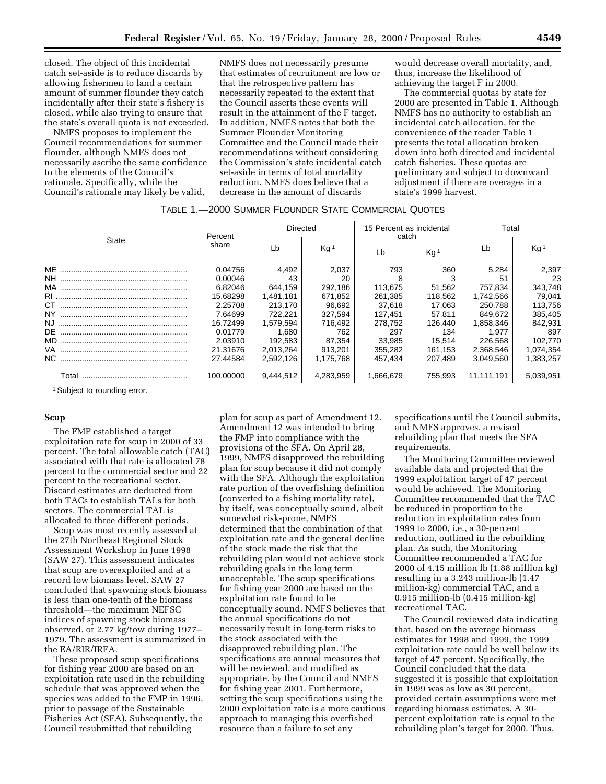closed. The object of this incidental catch set-aside is to reduce discards by allowing fishermen to land a certain amount of summer flounder they catch incidentally after their state's fishery is closed, while also trying to ensure that the state's overall quota is not exceeded.

NMFS proposes to implement the Council recommendations for summer flounder, although NMFS does not necessarily ascribe the same confidence to the elements of the Council's rationale. Specifically, while the Council's rationale may likely be valid,

NMFS does not necessarily presume that estimates of recruitment are low or that the retrospective pattern has necessarily repeated to the extent that the Council asserts these events will result in the attainment of the F target. In addition, NMFS notes that both the Summer Flounder Monitoring Committee and the Council made their recommendations without considering the Commission's state incidental catch set-aside in terms of total mortality reduction. NMFS does believe that a decrease in the amount of discards

would decrease overall mortality, and, thus, increase the likelihood of achieving the target F in 2000.

The commercial quotas by state for 2000 are presented in Table 1. Although NMFS has no authority to establish an incidental catch allocation, for the convenience of the reader Table 1 presents the total allocation broken down into both directed and incidental catch fisheries. These quotas are preliminary and subject to downward adjustment if there are overages in a state's 1999 harvest.

# TABLE 1.—2000 SUMMER FLOUNDER STATE COMMERCIAL QUOTES

| State | Percent             | <b>Directed</b>      |                    | 15 Percent as incidental<br>catch |                   | Total                |                      |
|-------|---------------------|----------------------|--------------------|-----------------------------------|-------------------|----------------------|----------------------|
|       | share               | Lb                   | Kg <sup>1</sup>    | Lb                                | Ka <sup>1</sup>   | Lb                   | Kg <sup>1</sup>      |
| ME    | 0.04756             | 4.492                | 2.037              | 793                               | 360               | 5.284                | 2.397                |
|       | 0.00046<br>6.82046  | 43<br>644.159        | 20<br>292.186      | 113,675                           | 51,562            | 51<br>757,834        | 23<br>343,748        |
| CT.   | 15.68298<br>2.25708 | 1,481,181<br>213.170 | 671,852<br>96.692  | 261,385<br>37,618                 | 118,562<br>17.063 | 1,742,566<br>250.788 | 79.041<br>113,756    |
| NY.   | 7.64699<br>16.72499 | 722.221<br>1.579.594 | 327,594<br>716,492 | 127,451                           | 57.811<br>126.440 | 849.672              | 385,405<br>842,931   |
| DE    | 0.01779             | 1.680                | 762                | 278.752<br>297                    | 134               | 1,858,346<br>1.977   | 897                  |
|       | 2.03910<br>21.31676 | 192.583<br>2,013,264 | 87.354<br>913.201  | 33.985<br>355,282                 | 15,514<br>161,153 | 226.568<br>2,368,546 | 102,770<br>1,074,354 |
|       | 27.44584            | 2,592,126            | 1,175,768          | 457,434                           | 207,489           | 3,049,560            | 1,383,257            |
|       | 100.00000           | 9,444,512            | 4,283,959          | 1.666.679                         | 755,993           | 11,111,191           | 5,039,951            |

1Subject to rounding error.

# **Scup**

The FMP established a target exploitation rate for scup in 2000 of 33 percent. The total allowable catch (TAC) associated with that rate is allocated 78 percent to the commercial sector and 22 percent to the recreational sector. Discard estimates are deducted from both TACs to establish TALs for both sectors. The commercial TAL is allocated to three different periods.

Scup was most recently assessed at the 27th Northeast Regional Stock Assessment Workshop in June 1998 (SAW 27). This assessment indicates that scup are overexploited and at a record low biomass level. SAW 27 concluded that spawning stock biomass is less than one-tenth of the biomass threshold—the maximum NEFSC indices of spawning stock biomass observed, or 2.77 kg/tow during 1977– 1979. The assessment is summarized in the EA/RIR/IRFA.

These proposed scup specifications for fishing year 2000 are based on an exploitation rate used in the rebuilding schedule that was approved when the species was added to the FMP in 1996, prior to passage of the Sustainable Fisheries Act (SFA). Subsequently, the Council resubmitted that rebuilding

plan for scup as part of Amendment 12. Amendment 12 was intended to bring the FMP into compliance with the provisions of the SFA. On April 28, 1999, NMFS disapproved the rebuilding plan for scup because it did not comply with the SFA. Although the exploitation rate portion of the overfishing definition (converted to a fishing mortality rate), by itself, was conceptually sound, albeit somewhat risk-prone, NMFS determined that the combination of that exploitation rate and the general decline of the stock made the risk that the rebuilding plan would not achieve stock rebuilding goals in the long term unacceptable. The scup specifications for fishing year 2000 are based on the exploitation rate found to be conceptually sound. NMFS believes that the annual specifications do not necessarily result in long-term risks to the stock associated with the disapproved rebuilding plan. The specifications are annual measures that will be reviewed, and modified as appropriate, by the Council and NMFS for fishing year 2001. Furthermore, setting the scup specifications using the 2000 exploitation rate is a more cautious approach to managing this overfished resource than a failure to set any

specifications until the Council submits, and NMFS approves, a revised rebuilding plan that meets the SFA requirements.

The Monitoring Committee reviewed available data and projected that the 1999 exploitation target of 47 percent would be achieved. The Monitoring Committee recommended that the TAC be reduced in proportion to the reduction in exploitation rates from 1999 to 2000, i.e., a 30-percent reduction, outlined in the rebuilding plan. As such, the Monitoring Committee recommended a TAC for 2000 of 4.15 million lb (1.88 million kg) resulting in a 3.243 million-lb (1.47 million-kg) commercial TAC, and a 0.915 million-lb (0.415 million-kg) recreational TAC.

The Council reviewed data indicating that, based on the average biomass estimates for 1998 and 1999, the 1999 exploitation rate could be well below its target of 47 percent. Specifically, the Council concluded that the data suggested it is possible that exploitation in 1999 was as low as 30 percent, provided certain assumptions were met regarding biomass estimates. A 30 percent exploitation rate is equal to the rebuilding plan's target for 2000. Thus,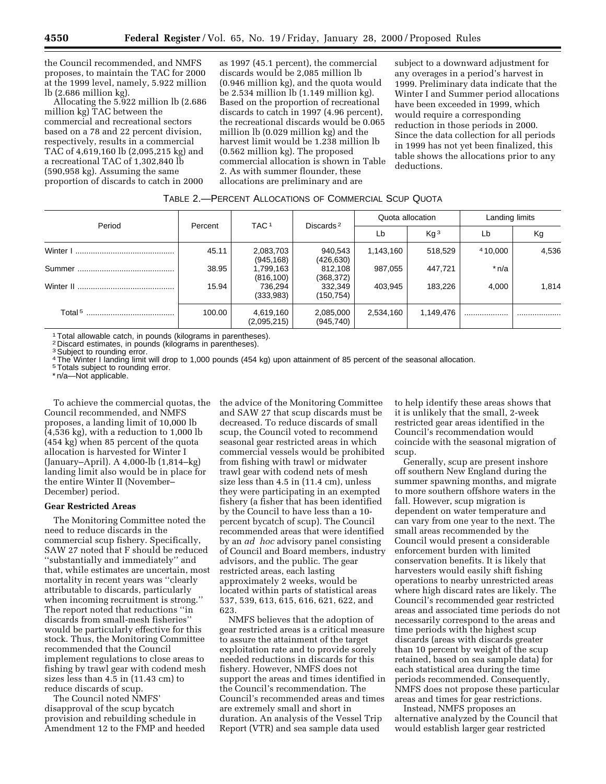the Council recommended, and NMFS proposes, to maintain the TAC for 2000 at the 1999 level, namely, 5.922 million lb (2.686 million kg).

Allocating the 5.922 million lb (2.686 million kg) TAC between the commercial and recreational sectors based on a 78 and 22 percent division, respectively, results in a commercial TAC of 4,619,160 lb (2,095,215 kg) and a recreational TAC of 1,302,840 lb (590,958 kg). Assuming the same proportion of discards to catch in 2000

as 1997 (45.1 percent), the commercial discards would be 2,085 million lb (0.946 million kg), and the quota would be 2.534 million lb (1.149 million kg). Based on the proportion of recreational discards to catch in 1997 (4.96 percent), the recreational discards would be 0.065 million lb (0.029 million kg) and the harvest limit would be 1.238 million lb (0.562 million kg). The proposed commercial allocation is shown in Table 2. As with summer flounder, these allocations are preliminary and are

subject to a downward adjustment for any overages in a period's harvest in 1999. Preliminary data indicate that the Winter I and Summer period allocations have been exceeded in 1999, which would require a corresponding reduction in those periods in 2000. Since the data collection for all periods in 1999 has not yet been finalized, this table shows the allocations prior to any deductions.

## TABLE 2.—PERCENT ALLOCATIONS OF COMMERCIAL SCUP QUOTA

| Period | Percent | TAC <sub>1</sub>         | Discards <sup>2</sup>   | Quota allocation |                 | Landing limits |       |
|--------|---------|--------------------------|-------------------------|------------------|-----------------|----------------|-------|
|        |         |                          |                         | Lb               | Kq <sup>3</sup> | Lb             | Kg    |
|        | 45.11   | 2,083,703<br>(945, 168)  | 940,543<br>(426, 630)   | 1,143,160        | 518,529         | 410.000        | 4,536 |
|        | 38.95   | 1,799,163<br>(816, 100)  | 812,108<br>(368, 372)   | 987,055          | 447,721         | $*$ n/a        |       |
|        | 15.94   | 736,294<br>(333,983)     | 332,349<br>(150, 754)   | 403.945          | 183,226         | 4,000          | 1,814 |
|        | 100.00  | 4,619,160<br>(2,095,215) | 2,085,000<br>(945, 740) | 2,534,160        | 1,149,476       |                |       |

1Total allowable catch, in pounds (kilograms in parentheses).

2 Discard estimates, in pounds (kilograms in parentheses).

<sup>3</sup> Subject to rounding error.

4The Winter I landing limit will drop to 1,000 pounds (454 kg) upon attainment of 85 percent of the seasonal allocation.

5Totals subject to rounding error.

\* n/a—Not applicable.

To achieve the commercial quotas, the Council recommended, and NMFS proposes, a landing limit of 10,000 lb (4,536 kg), with a reduction to 1,000 lb (454 kg) when 85 percent of the quota allocation is harvested for Winter I (January–April). A 4,000-lb (1,814–kg) landing limit also would be in place for the entire Winter II (November– December) period.

### **Gear Restricted Areas**

The Monitoring Committee noted the need to reduce discards in the commercial scup fishery. Specifically, SAW 27 noted that F should be reduced ''substantially and immediately'' and that, while estimates are uncertain, most mortality in recent years was ''clearly attributable to discards, particularly when incoming recruitment is strong.'' The report noted that reductions ''in discards from small-mesh fisheries'' would be particularly effective for this stock. Thus, the Monitoring Committee recommended that the Council implement regulations to close areas to fishing by trawl gear with codend mesh sizes less than 4.5 in (11.43 cm) to reduce discards of scup.

The Council noted NMFS' disapproval of the scup bycatch provision and rebuilding schedule in Amendment 12 to the FMP and heeded the advice of the Monitoring Committee and SAW 27 that scup discards must be decreased. To reduce discards of small scup, the Council voted to recommend seasonal gear restricted areas in which commercial vessels would be prohibited from fishing with trawl or midwater trawl gear with codend nets of mesh size less than 4.5 in (11.4 cm), unless they were participating in an exempted fishery (a fisher that has been identified by the Council to have less than a 10 percent bycatch of scup). The Council recommended areas that were identified by an *ad hoc* advisory panel consisting of Council and Board members, industry advisors, and the public. The gear restricted areas, each lasting approximately 2 weeks, would be located within parts of statistical areas 537, 539, 613, 615, 616, 621, 622, and 623.

NMFS believes that the adoption of gear restricted areas is a critical measure to assure the attainment of the target exploitation rate and to provide sorely needed reductions in discards for this fishery. However, NMFS does not support the areas and times identified in the Council's recommendation. The Council's recommended areas and times are extremely small and short in duration. An analysis of the Vessel Trip Report (VTR) and sea sample data used

to help identify these areas shows that it is unlikely that the small, 2-week restricted gear areas identified in the Council's recommendation would coincide with the seasonal migration of scup.

Generally, scup are present inshore off southern New England during the summer spawning months, and migrate to more southern offshore waters in the fall. However, scup migration is dependent on water temperature and can vary from one year to the next. The small areas recommended by the Council would present a considerable enforcement burden with limited conservation benefits. It is likely that harvesters would easily shift fishing operations to nearby unrestricted areas where high discard rates are likely. The Council's recommended gear restricted areas and associated time periods do not necessarily correspond to the areas and time periods with the highest scup discards (areas with discards greater than 10 percent by weight of the scup retained, based on sea sample data) for each statistical area during the time periods recommended. Consequently, NMFS does not propose these particular areas and times for gear restrictions.

Instead, NMFS proposes an alternative analyzed by the Council that would establish larger gear restricted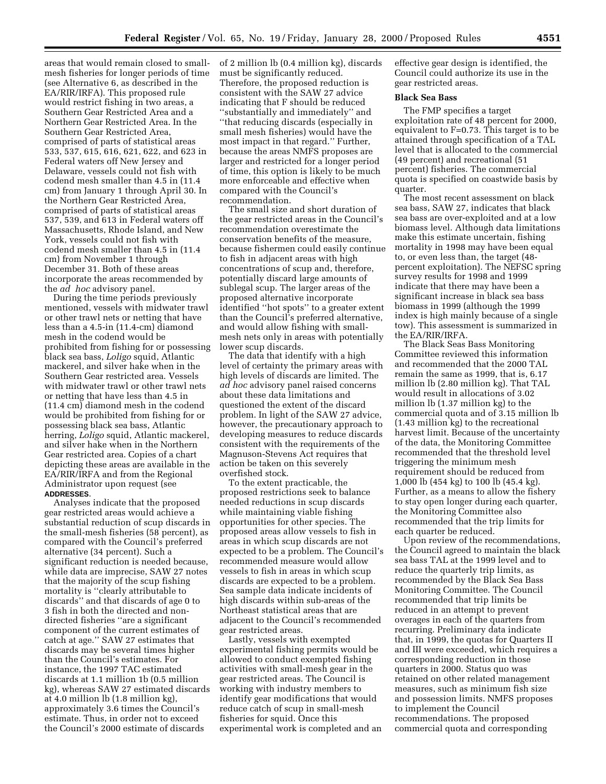areas that would remain closed to smallmesh fisheries for longer periods of time (see Alternative 6, as described in the EA/RIR/IRFA). This proposed rule would restrict fishing in two areas, a Southern Gear Restricted Area and a Northern Gear Restricted Area. In the Southern Gear Restricted Area, comprised of parts of statistical areas 533, 537, 615, 616, 621, 622, and 623 in Federal waters off New Jersey and Delaware, vessels could not fish with codend mesh smaller than 4.5 in (11.4 cm) from January 1 through April 30. In the Northern Gear Restricted Area, comprised of parts of statistical areas 537, 539, and 613 in Federal waters off Massachusetts, Rhode Island, and New York, vessels could not fish with codend mesh smaller than 4.5 in (11.4 cm) from November 1 through December 31. Both of these areas incorporate the areas recommended by the *ad hoc* advisory panel.

During the time periods previously mentioned, vessels with midwater trawl or other trawl nets or netting that have less than a 4.5-in (11.4-cm) diamond mesh in the codend would be prohibited from fishing for or possessing black sea bass, *Loligo* squid, Atlantic mackerel, and silver hake when in the Southern Gear restricted area. Vessels with midwater trawl or other trawl nets or netting that have less than 4.5 in (11.4 cm) diamond mesh in the codend would be prohibited from fishing for or possessing black sea bass, Atlantic herring, *Loligo* squid, Atlantic mackerel, and silver hake when in the Northern Gear restricted area. Copies of a chart depicting these areas are available in the EA/RIR/IRFA and from the Regional Administrator upon request (see **ADDRESSES**.

Analyses indicate that the proposed gear restricted areas would achieve a substantial reduction of scup discards in the small-mesh fisheries (58 percent), as compared with the Council's preferred alternative (34 percent). Such a significant reduction is needed because, while data are imprecise, SAW 27 notes that the majority of the scup fishing mortality is ''clearly attributable to discards'' and that discards of age 0 to 3 fish in both the directed and nondirected fisheries ''are a significant component of the current estimates of catch at age.'' SAW 27 estimates that discards may be several times higher than the Council's estimates. For instance, the 1997 TAC estimated discards at 1.1 million 1b (0.5 million kg), whereas SAW 27 estimated discards at 4.0 million lb (1.8 million kg), approximately 3.6 times the Council's estimate. Thus, in order not to exceed the Council's 2000 estimate of discards

of 2 million lb (0.4 million kg), discards must be significantly reduced. Therefore, the proposed reduction is consistent with the SAW 27 advice indicating that F should be reduced ''substantially and immediately'' and ''that reducing discards (especially in small mesh fisheries) would have the most impact in that regard.'' Further, because the areas NMFS proposes are larger and restricted for a longer period of time, this option is likely to be much more enforceable and effective when compared with the Council's recommendation.

The small size and short duration of the gear restricted areas in the Council's recommendation overestimate the conservation benefits of the measure, because fishermen could easily continue to fish in adjacent areas with high concentrations of scup and, therefore, potentially discard large amounts of sublegal scup. The larger areas of the proposed alternative incorporate identified ''hot spots'' to a greater extent than the Council's preferred alternative, and would allow fishing with smallmesh nets only in areas with potentially lower scup discards.

The data that identify with a high level of certainty the primary areas with high levels of discards are limited. The *ad hoc* advisory panel raised concerns about these data limitations and questioned the extent of the discard problem. In light of the SAW 27 advice, however, the precautionary approach to developing measures to reduce discards consistent with the requirements of the Magnuson-Stevens Act requires that action be taken on this severely overfished stock.

To the extent practicable, the proposed restrictions seek to balance needed reductions in scup discards while maintaining viable fishing opportunities for other species. The proposed areas allow vessels to fish in areas in which scup discards are not expected to be a problem. The Council's recommended measure would allow vessels to fish in areas in which scup discards are expected to be a problem. Sea sample data indicate incidents of high discards within sub-areas of the Northeast statistical areas that are adjacent to the Council's recommended gear restricted areas.

Lastly, vessels with exempted experimental fishing permits would be allowed to conduct exempted fishing activities with small-mesh gear in the gear restricted areas. The Council is working with industry members to identify gear modifications that would reduce catch of scup in small-mesh fisheries for squid. Once this experimental work is completed and an effective gear design is identified, the Council could authorize its use in the gear restricted areas.

# **Black Sea Bass**

The FMP specifies a target exploitation rate of 48 percent for 2000, equivalent to F=0.73. This target is to be attained through specification of a TAL level that is allocated to the commercial (49 percent) and recreational (51 percent) fisheries. The commercial quota is specified on coastwide basis by quarter.

The most recent assessment on black sea bass, SAW 27, indicates that black sea bass are over-exploited and at a low biomass level. Although data limitations make this estimate uncertain, fishing mortality in 1998 may have been equal to, or even less than, the target (48 percent exploitation). The NEFSC spring survey results for 1998 and 1999 indicate that there may have been a significant increase in black sea bass biomass in 1999 (although the 1999 index is high mainly because of a single tow). This assessment is summarized in the EA/RIR/IRFA.

The Black Seas Bass Monitoring Committee reviewed this information and recommended that the 2000 TAL remain the same as 1999, that is, 6.17 million lb (2.80 million kg). That TAL would result in allocations of 3.02 million lb (1.37 million kg) to the commercial quota and of 3.15 million lb (1.43 million kg) to the recreational harvest limit. Because of the uncertainty of the data, the Monitoring Committee recommended that the threshold level triggering the minimum mesh requirement should be reduced from 1,000 lb (454 kg) to 100 lb (45.4 kg). Further, as a means to allow the fishery to stay open longer during each quarter, the Monitoring Committee also recommended that the trip limits for each quarter be reduced.

Upon review of the recommendations, the Council agreed to maintain the black sea bass TAL at the 1999 level and to reduce the quarterly trip limits, as recommended by the Black Sea Bass Monitoring Committee. The Council recommended that trip limits be reduced in an attempt to prevent overages in each of the quarters from recurring. Preliminary data indicate that, in 1999, the quotas for Quarters II and III were exceeded, which requires a corresponding reduction in those quarters in 2000. Status quo was retained on other related management measures, such as minimum fish size and possession limits. NMFS proposes to implement the Council recommendations. The proposed commercial quota and corresponding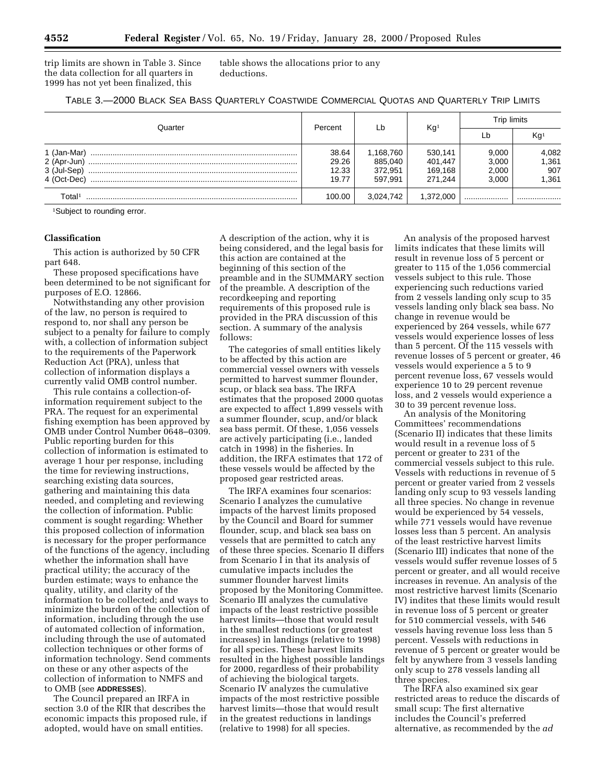trip limits are shown in Table 3. Since the data collection for all quarters in 1999 has not yet been finalized, this

table shows the allocations prior to any deductions.

| TABLE 3.-2000 BLACK SEA BASS QUARTERLY COASTWIDE COMMERCIAL QUOTAS AND QUARTERLY TRIP LIMITS |  |
|----------------------------------------------------------------------------------------------|--|
|----------------------------------------------------------------------------------------------|--|

|             | Percent | Lb        | Kg <sup>1</sup> | Trip limits |                 |
|-------------|---------|-----------|-----------------|-------------|-----------------|
| Quarter     |         |           |                 | Lb          | Kg <sup>1</sup> |
| 1 (Jan-Mar) | 38.64   | 1,168,760 | 530,141         | 9,000       |                 |
| 2 (Apr-Jun) | 29.26   | 885,040   | 401,447         | 3,000       | 4,082<br>1,361  |
| 3 (Jul-Sep) | 12.33   | 372.951   | 169.168         | 2,000       | 907             |
| 4 (Oct-Dec) | 19.77   | 597.991   | 271.244         | 3.000       | 1,361           |
| Total≀      | 100.00  | 3.024.742 | 1.372.000       |             |                 |

1Subject to rounding error.

# **Classification**

This action is authorized by 50 CFR part 648.

These proposed specifications have been determined to be not significant for purposes of E.O. 12866.

Notwithstanding any other provision of the law, no person is required to respond to, nor shall any person be subject to a penalty for failure to comply with, a collection of information subject to the requirements of the Paperwork Reduction Act (PRA), unless that collection of information displays a currently valid OMB control number.

This rule contains a collection-ofinformation requirement subject to the PRA. The request for an experimental fishing exemption has been approved by OMB under Control Number 0648–0309. Public reporting burden for this collection of information is estimated to average 1 hour per response, including the time for reviewing instructions, searching existing data sources, gathering and maintaining this data needed, and completing and reviewing the collection of information. Public comment is sought regarding: Whether this proposed collection of information is necessary for the proper performance of the functions of the agency, including whether the information shall have practical utility; the accuracy of the burden estimate; ways to enhance the quality, utility, and clarity of the information to be collected; and ways to minimize the burden of the collection of information, including through the use of automated collection of information, including through the use of automated collection techniques or other forms of information technology. Send comments on these or any other aspects of the collection of information to NMFS and to OMB (see **ADDRESSES**).

The Council prepared an IRFA in section 3.0 of the RIR that describes the economic impacts this proposed rule, if adopted, would have on small entities.

A description of the action, why it is being considered, and the legal basis for this action are contained at the beginning of this section of the preamble and in the SUMMARY section of the preamble. A description of the recordkeeping and reporting requirements of this proposed rule is provided in the PRA discussion of this section. A summary of the analysis follows:

The categories of small entities likely to be affected by this action are commercial vessel owners with vessels permitted to harvest summer flounder, scup, or black sea bass. The IRFA estimates that the proposed 2000 quotas are expected to affect 1,899 vessels with a summer flounder, scup, and/or black sea bass permit. Of these, 1,056 vessels are actively participating (i.e., landed catch in 1998) in the fisheries. In addition, the IRFA estimates that 172 of these vessels would be affected by the proposed gear restricted areas.

The IRFA examines four scenarios: Scenario I analyzes the cumulative impacts of the harvest limits proposed by the Council and Board for summer flounder, scup, and black sea bass on vessels that are permitted to catch any of these three species. Scenario II differs from Scenario I in that its analysis of cumulative impacts includes the summer flounder harvest limits proposed by the Monitoring Committee. Scenario III analyzes the cumulative impacts of the least restrictive possible harvest limits—those that would result in the smallest reductions (or greatest increases) in landings (relative to 1998) for all species. These harvest limits resulted in the highest possible landings for 2000, regardless of their probability of achieving the biological targets. Scenario IV analyzes the cumulative impacts of the most restrictive possible harvest limits—those that would result in the greatest reductions in landings (relative to 1998) for all species.

An analysis of the proposed harvest limits indicates that these limits will result in revenue loss of 5 percent or greater to 115 of the 1,056 commercial vessels subject to this rule. Those experiencing such reductions varied from 2 vessels landing only scup to 35 vessels landing only black sea bass. No change in revenue would be experienced by 264 vessels, while 677 vessels would experience losses of less than 5 percent. Of the 115 vessels with revenue losses of 5 percent or greater, 46 vessels would experience a 5 to 9 percent revenue loss, 67 vessels would experience 10 to 29 percent revenue loss, and 2 vessels would experience a 30 to 39 percent revenue loss.

An analysis of the Monitoring Committees' recommendations (Scenario II) indicates that these limits would result in a revenue loss of 5 percent or greater to 231 of the commercial vessels subject to this rule. Vessels with reductions in revenue of 5 percent or greater varied from 2 vessels landing only scup to 93 vessels landing all three species. No change in revenue would be experienced by 54 vessels, while 771 vessels would have revenue losses less than 5 percent. An analysis of the least restrictive harvest limits (Scenario III) indicates that none of the vessels would suffer revenue losses of 5 percent or greater, and all would receive increases in revenue. An analysis of the most restrictive harvest limits (Scenario IV) indites that these limits would result in revenue loss of 5 percent or greater for 510 commercial vessels, with 546 vessels having revenue loss less than 5 percent. Vessels with reductions in revenue of 5 percent or greater would be felt by anywhere from 3 vessels landing only scup to 278 vessels landing all three species.

The IRFA also examined six gear restricted areas to reduce the discards of small scup: The first alternative includes the Council's preferred alternative, as recommended by the *ad*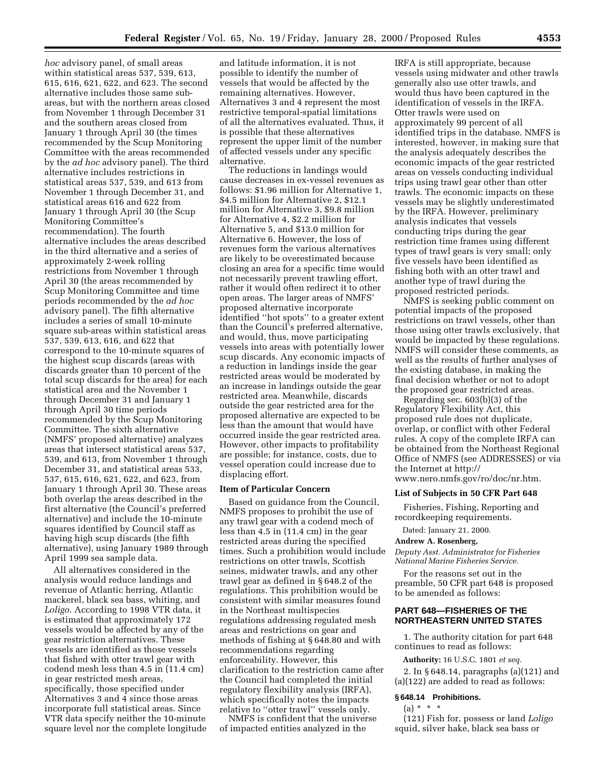*hoc* advisory panel, of small areas within statistical areas 537, 539, 613, 615, 616, 621, 622, and 623. The second alternative includes those same subareas, but with the northern areas closed from November 1 through December 31 and the southern areas closed from January 1 through April 30 (the times recommended by the Scup Monitoring Committee with the areas recommended by the *ad hoc* advisory panel). The third alternative includes restrictions in statistical areas 537, 539, and 613 from November 1 through December 31, and statistical areas 616 and 622 from January 1 through April 30 (the Scup Monitoring Committee's recommendation). The fourth alternative includes the areas described in the third alternative and a series of approximately 2-week rolling restrictions from November 1 through April 30 (the areas recommended by Scup Monitoring Committee and time periods recommended by the *ad hoc* advisory panel). The fifth alternative includes a series of small 10-minute square sub-areas within statistical areas 537, 539, 613, 616, and 622 that correspond to the 10-minute squares of the highest scup discards (areas with discards greater than 10 percent of the total scup discards for the area) for each statistical area and the November 1 through December 31 and January 1 through April 30 time periods recommended by the Scup Monitoring Committee. The sixth alternative (NMFS' proposed alternative) analyzes areas that intersect statistical areas 537, 539, and 613, from November 1 through December 31, and statistical areas 533, 537, 615, 616, 621, 622, and 623, from January 1 through April 30. These areas both overlap the areas described in the first alternative (the Council's preferred alternative) and include the 10-minute squares identified by Council staff as having high scup discards (the fifth alternative), using January 1989 through April 1999 sea sample data.

All alternatives considered in the analysis would reduce landings and revenue of Atlantic herring, Atlantic mackerel, black sea bass, whiting, and *Loligo*. According to 1998 VTR data, it is estimated that approximately 172 vessels would be affected by any of the gear restriction alternatives. These vessels are identified as those vessels that fished with otter trawl gear with codend mesh less than 4.5 in (11.4 cm) in gear restricted mesh areas, specifically, those specified under Alternatives 3 and 4 since those areas incorporate full statistical areas. Since VTR data specify neither the 10-minute square level nor the complete longitude

and latitude information, it is not possible to identify the number of vessels that would be affected by the remaining alternatives. However, Alternatives 3 and 4 represent the most restrictive temporal-spatial limitations of all the alternatives evaluated. Thus, it is possible that these alternatives represent the upper limit of the number of affected vessels under any specific alternative.

The reductions in landings would cause decreases in ex-vessel revenues as follows: \$1.96 million for Alternative 1, \$4.5 million for Alternative 2, \$12.1 million for Alternative 3, \$9.8 million for Alternative 4, \$2.2 million for Alternative 5, and \$13.0 million for Alternative 6. However, the loss of revenues form the various alternatives are likely to be overestimated because closing an area for a specific time would not necessarily prevent trawling effort, rather it would often redirect it to other open areas. The larger areas of NMFS' proposed alternative incorporate identified ''hot spots'' to a greater extent than the Council's preferred alternative, and would, thus, move participating vessels into areas with potentially lower scup discards. Any economic impacts of a reduction in landings inside the gear restricted areas would be moderated by an increase in landings outside the gear restricted area. Meanwhile, discards outside the gear restricted area for the proposed alternative are expected to be less than the amount that would have occurred inside the gear restricted area. However, other impacts to profitability are possible; for instance, costs, due to vessel operation could increase due to displacing effort.

### **Item of Particular Concern**

Based on guidance from the Council, NMFS proposes to prohibit the use of any trawl gear with a codend mech of less than 4.5 in (11.4 cm) in the gear restricted areas during the specified times. Such a prohibition would include restrictions on otter trawls, Scottish seines, midwater trawls, and any other trawl gear as defined in § 648.2 of the regulations. This prohibition would be consistent with similar measures found in the Northeast multispecies regulations addressing regulated mesh areas and restrictions on gear and methods of fishing at § 648.80 and with recommendations regarding enforceability. However, this clarification to the restriction came after the Council had completed the initial regulatory flexibility analysis (IRFA), which specifically notes the impacts relative to ''otter trawl'' vessels only.

NMFS is confident that the universe of impacted entities analyzed in the

IRFA is still appropriate, because vessels using midwater and other trawls generally also use otter trawls, and would thus have been captured in the identification of vessels in the IRFA. Otter trawls were used on approximately 99 percent of all identified trips in the database. NMFS is interested, however, in making sure that the analysis adequately describes the economic impacts of the gear restricted areas on vessels conducting individual trips using trawl gear other than otter trawls. The economic impacts on these vessels may be slightly underestimated by the IRFA. However, preliminary analysis indicates that vessels conducting trips during the gear restriction time frames using different types of trawl gears is very small; only five vessels have been identified as fishing both with an otter trawl and another type of trawl during the proposed restricted periods.

NMFS is seeking public comment on potential impacts of the proposed restrictions on trawl vessels, other than those using otter trawls exclusively, that would be impacted by these regulations. NMFS will consider these comments, as well as the results of further analyses of the existing database, in making the final decision whether or not to adopt the proposed gear restricted areas.

Regarding sec. 603(b)(3) of the Regulatory Flexibility Act, this proposed rule does not duplicate, overlap, or conflict with other Federal rules. A copy of the complete IRFA can be obtained from the Northeast Regional Office of NMFS (see ADDRESSES) or via the Internet at http:// www.nero.nmfs.gov/ro/doc/nr.htm.

# **List of Subjects in 50 CFR Part 648**

Fisheries, Fishing, Reporting and recordkeeping requirements.

Dated: January 21, 2000.

#### **Andrew A. Rosenberg,**

*Deputy Asst. Administrator for Fisheries National Marine Fisheries Service.*

For the reasons set out in the preamble, 50 CFR part 648 is proposed to be amended as follows:

# **PART 648—FISHERIES OF THE NORTHEASTERN UNITED STATES**

1. The authority citation for part 648 continues to read as follows:

**Authority:** 16 U.S.C. 1801 *et seq.*

2. In § 648.14, paragraphs (a)(121) and (a)(122) are added to read as follows:

### **§ 648.14 Prohibitions.**

 $(a) * * * *$ 

(121) Fish for, possess or land *Loligo* squid, silver hake, black sea bass or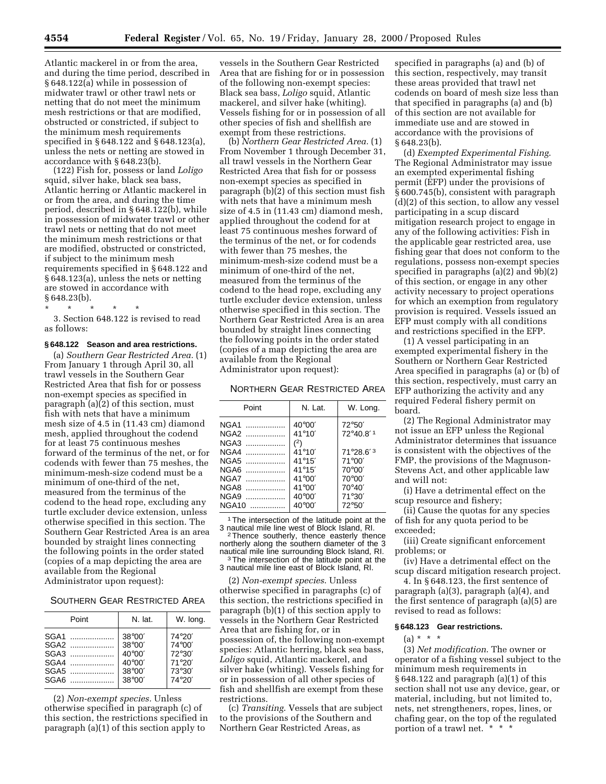Atlantic mackerel in or from the area, and during the time period, described in § 648.122(a) while in possession of midwater trawl or other trawl nets or netting that do not meet the minimum mesh restrictions or that are modified, obstructed or constricted, if subject to the minimum mesh requirements specified in § 648.122 and § 648.123(a), unless the nets or netting are stowed in accordance with § 648.23(b).

(122) Fish for, possess or land *Loligo* squid, silver hake, black sea bass, Atlantic herring or Atlantic mackerel in or from the area, and during the time period, described in § 648.122(b), while in possession of midwater trawl or other trawl nets or netting that do not meet the minimum mesh restrictions or that are modified, obstructed or constricted, if subject to the minimum mesh requirements specified in § 648.122 and § 648.123(a), unless the nets or netting are stowed in accordance with § 648.23(b).

\* \* \* \* \*

3. Section 648.122 is revised to read as follows:

#### **§ 648.122 Season and area restrictions.**

(a) *Southern Gear Restricted Area.* (1) From January 1 through April 30, all trawl vessels in the Southern Gear Restricted Area that fish for or possess non-exempt species as specified in paragraph (a)(2) of this section, must fish with nets that have a minimum mesh size of 4.5 in (11.43 cm) diamond mesh, applied throughout the codend for at least 75 continuous meshes forward of the terminus of the net, or for codends with fewer than 75 meshes, the minimum-mesh-size codend must be a minimum of one-third of the net, measured from the terminus of the codend to the head rope, excluding any turtle excluder device extension, unless otherwise specified in this section. The Southern Gear Restricted Area is an area bounded by straight lines connecting the following points in the order stated (copies of a map depicting the area are available from the Regional Administrator upon request):

## SOUTHERN GEAR RESTRICTED AREA

| Point                                        | N. lat.                                                                                                        | W. long.                                                          |
|----------------------------------------------|----------------------------------------------------------------------------------------------------------------|-------------------------------------------------------------------|
| SGA1<br>SGA2<br>SGA3<br>SGA4<br>SGA5<br>SGAB | $38^{\circ}00'$<br>$38^{\circ}00'$<br>$40^{\circ}00'$<br>$40^{\circ}00'$<br>$38^{\circ}00'$<br>$38^{\circ}00'$ | 74°20'<br>74°00'<br>$72^{\circ}30'$<br>71°20'<br>73°30'<br>74°20' |

(2) *Non-exempt species.* Unless otherwise specified in paragraph (c) of this section, the restrictions specified in paragraph (a)(1) of this section apply to

vessels in the Southern Gear Restricted Area that are fishing for or in possession of the following non-exempt species: Black sea bass, *Loligo* squid, Atlantic mackerel, and silver hake (whiting). Vessels fishing for or in possession of all other species of fish and shellfish are exempt from these restrictions.

(b) *Northern Gear Restricted Area.* (1) From November 1 through December 31, all trawl vessels in the Northern Gear Restricted Area that fish for or possess non-exempt species as specified in paragraph (b)(2) of this section must fish with nets that have a minimum mesh size of 4.5 in (11.43 cm) diamond mesh, applied throughout the codend for at least 75 continuous meshes forward of the terminus of the net, or for codends with fewer than 75 meshes, the minimum-mesh-size codend must be a minimum of one-third of the net measured from the terminus of the codend to the head rope, excluding any turtle excluder device extension, unless otherwise specified in this section. The Northern Gear Restricted Area is an area bounded by straight lines connecting the following points in the order stated (copies of a map depicting the area are available from the Regional Administrator upon request):

#### NORTHERN GEAR RESTRICTED AREA

| Point                                                                | N. Lat.                                                                                                                                                     | W. Long.                                                                                                                           |
|----------------------------------------------------------------------|-------------------------------------------------------------------------------------------------------------------------------------------------------------|------------------------------------------------------------------------------------------------------------------------------------|
| NGA1<br>NGA2<br>NGA3<br>NGA4<br>NGA5<br>NGA6<br>NGA7<br>NGA8<br>NGA9 | $40^{\circ}00'$<br>$41^{\circ}10'$<br>(2)<br>$41^{\circ}10'$<br>$41^{\circ}15'$<br>$41^{\circ}15'$<br>$41^{\circ}00'$<br>$41^{\circ}00'$<br>$40^{\circ}00'$ | $72^{\circ}50'$<br>72°40.8' <sup>1</sup><br>71°28.6'3<br>$71^{\circ}00'$<br>$70^{\circ}00'$<br>$70^{\circ}00'$<br>70°40'<br>71°30' |
| NGA10                                                                | $40^{\circ}00'$                                                                                                                                             | 72°50'                                                                                                                             |

<sup>1</sup>The intersection of the latitude point at the 3 nautical mile line west of Block Island, RI.

<sup>2</sup> Thence southerly, thence easterly thence northerly along the southern diameter of the 3<br>nautical mile line surrounding Block Island, RI. nautical mile line surrounding Block Island, RI.<br><sup>3</sup>The intersection of the latitude point at the 3 nautical mile line east of Block Island, RI.

(2) *Non-exempt species*. Unless otherwise specified in paragraphs (c) of this section, the restrictions specified in paragraph (b)(1) of this section apply to vessels in the Northern Gear Restricted Area that are fishing for, or in possession of, the following non-exempt species: Atlantic herring, black sea bass, *Loligo* squid, Atlantic mackerel, and silver hake (whiting). Vessels fishing for or in possession of all other species of fish and shellfish are exempt from these restrictions.

(c) *Transiting*. Vessels that are subject to the provisions of the Southern and Northern Gear Restricted Areas, as

specified in paragraphs (a) and (b) of this section, respectively, may transit these areas provided that trawl net codends on board of mesh size less than that specified in paragraphs (a) and (b) of this section are not available for immediate use and are stowed in accordance with the provisions of § 648.23(b).

(d) *Exempted Experimental Fishing*. The Regional Administrator may issue an exempted experimental fishing permit (EFP) under the provisions of § 600.745(b), consistent with paragraph (d)(2) of this section, to allow any vessel participating in a scup discard mitigation research project to engage in any of the following activities: Fish in the applicable gear restricted area, use fishing gear that does not conform to the regulations, possess non-exempt species specified in paragraphs (a)(2) and 9b)(2) of this section, or engage in any other activity necessary to project operations for which an exemption from regulatory provision is required. Vessels issued an EFP must comply with all conditions and restrictions specified in the EFP.

(1) A vessel participating in an exempted experimental fishery in the Southern or Northern Gear Restricted Area specified in paragraphs (a) or (b) of this section, respectively, must carry an EFP authorizing the activity and any required Federal fishery permit on board.

(2) The Regional Administrator may not issue an EFP unless the Regional Administrator determines that issuance is consistent with the objectives of the FMP, the provisions of the Magnuson-Stevens Act, and other applicable law and will not:

(i) Have a detrimental effect on the scup resource and fishery;

(ii) Cause the quotas for any species of fish for any quota period to be exceeded;

(iii) Create significant enforcement problems; or

(iv) Have a detrimental effect on the scup discard mitigation research project.

4. In § 648.123, the first sentence of paragraph (a)(3), paragraph (a)(4), and the first sentence of paragraph (a)(5) are revised to read as follows:

#### **§ 648.123 Gear restrictions.**

# $(a) * * * *$

(3) *Net modification*. The owner or operator of a fishing vessel subject to the minimum mesh requirements in § 648.122 and paragraph (a)(1) of this section shall not use any device, gear, or material, including, but not limited to, nets, net strengtheners, ropes, lines, or chafing gear, on the top of the regulated portion of a trawl net. \* \* \*